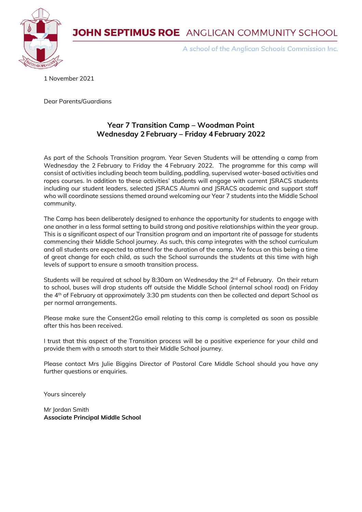**JOHN SEPTIMUS ROE** ANGLICAN COMMUNITY SCHOOL



A school of the Anglican Schools Commission Inc.

1 November 2021

Dear Parents/Guardians

#### **Year 7 Transition Camp – Woodman Point Wednesday 2 February – Friday 4 February 2022**

As part of the Schools Transition program. Year Seven Students will be attending a camp from Wednesday the 2 February to Friday the 4 February 2022. The programme for this camp will consist of activities including beach team building, paddling, supervised water-based activities and ropes courses. In addition to these activities' students will engage with current JSRACS students including our student leaders, selected JSRACS Alumni and JSRACS academic and support staff who will coordinate sessions themed around welcoming our Year 7 students into the Middle School community.

The Camp has been deliberately designed to enhance the opportunity for students to engage with one another in a less formal setting to build strong and positive relationships within the year group. This is a significant aspect of our Transition program and an important rite of passage for students commencing their Middle School journey. As such, this camp integrates with the school curriculum and all students are expected to attend for the duration of the camp. We focus on this being a time of great change for each child, as such the School surrounds the students at this time with high levels of support to ensure a smooth transition process.

Students will be required at school by 8:30am on Wednesday the 2 $^{\text{rd}}$  of February. On their return to school, buses will drop students off outside the Middle School (internal school road) on Friday the 4<sup>th</sup> of February at approximately 3:30 pm students can then be collected and depart School as per normal arrangements.

Please make sure the Consent2Go email relating to this camp is completed as soon as possible after this has been received.

I trust that this aspect of the Transition process will be a positive experience for your child and provide them with a smooth start to their Middle School journey.

Please contact Mrs Julie Biggins Director of Pastoral Care Middle School should you have any further questions or enquiries.

Yours sincerely

Mr Jordan Smith **Associate Principal Middle School**